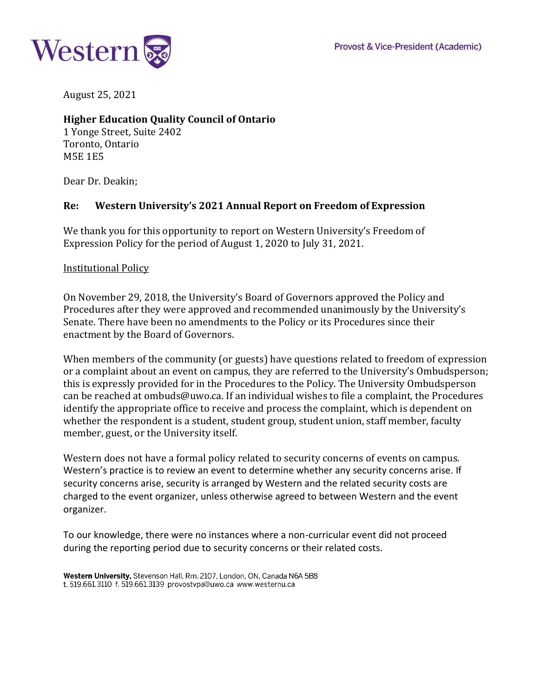

August 25, 2021

# **Higher Education Quality Council of Ontario**

1 Yonge Street, Suite 2402 Toronto, Ontario M5E 1E5

Dear Dr. Deakin;

## **Re: Western University's 2021 Annual Report on Freedom of Expression**

We thank you for this opportunity to report on Western University's Freedom of Expression Policy for the period of August 1, 2020 to July 31, 2021.

#### Institutional Policy

On November 29, 2018, the University's Board of Governors approved the Policy and Procedures after they were approved and recommended unanimously by the University's Senate. There have been no amendments to the Policy or its Procedures since their enactment by the Board of Governors.

When members of the community (or guests) have questions related to freedom of expression or a complaint about an event on campus, they are referred to the University's Ombudsperson; this is expressly provided for in the Procedures to the Policy. The University Ombudsperson can be reached at [ombuds@uwo.ca. I](mailto:ombuds@uwo.ca)f an individual wishes to file a complaint, the Procedures identify the appropriate office to receive and process the complaint, which is dependent on whether the respondent is a student, student group, student union, staff member, faculty member, guest, or the University itself.

Western does not have a formal policy related to security concerns of events on campus. Western's practice is to review an event to determine whether any security concerns arise. If security concerns arise, security is arranged by Western and the related security costs are charged to the event organizer, unless otherwise agreed to between Western and the event organizer.

To our knowledge, there were no instances where a non-curricular event did not proceed during the reporting period due to security concerns or their related costs.

Western University, Stevenson Hall, Rm. 2107, London, ON, Canada N6A 5B8 t. 519.661.3110 f. 519.661.3139 provostvpa@uwo.ca www.westernu.ca